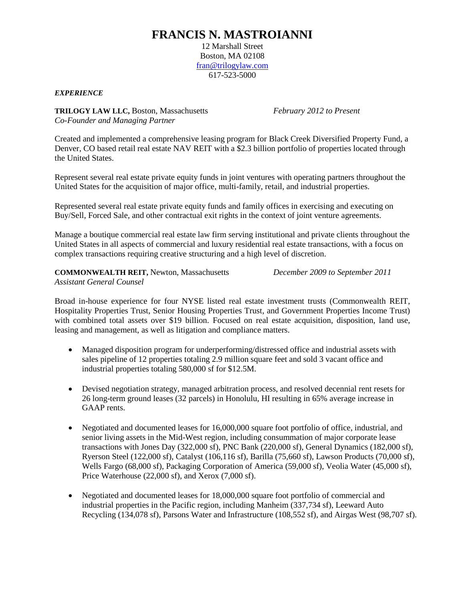## **FRANCIS N. MASTROIANNI**

12 Marshall Street Boston, MA 02108 [fran@trilogylaw.com](mailto:fran@trilogylaw.com) 617-523-5000

*EXPERIENCE*

**TRILOGY LAW LLC,** Boston, Massachusetts *February 2012 to Present Co-Founder and Managing Partner*

Created and implemented a comprehensive leasing program for Black Creek Diversified Property Fund, a Denver, CO based retail real estate NAV REIT with a \$2.3 billion portfolio of properties located through the United States.

Represent several real estate private equity funds in joint ventures with operating partners throughout the United States for the acquisition of major office, multi-family, retail, and industrial properties.

Represented several real estate private equity funds and family offices in exercising and executing on Buy/Sell, Forced Sale, and other contractual exit rights in the context of joint venture agreements.

Manage a boutique commercial real estate law firm serving institutional and private clients throughout the United States in all aspects of commercial and luxury residential real estate transactions, with a focus on complex transactions requiring creative structuring and a high level of discretion.

**COMMONWEALTH REIT,** Newton, Massachusetts *December 2009 to September 2011*

*Assistant General Counsel*

Broad in-house experience for four NYSE listed real estate investment trusts (Commonwealth REIT, Hospitality Properties Trust, Senior Housing Properties Trust, and Government Properties Income Trust) with combined total assets over \$19 billion. Focused on real estate acquisition, disposition, land use, leasing and management, as well as litigation and compliance matters.

- Managed disposition program for underperforming/distressed office and industrial assets with sales pipeline of 12 properties totaling 2.9 million square feet and sold 3 vacant office and industrial properties totaling 580,000 sf for \$12.5M.
- Devised negotiation strategy, managed arbitration process, and resolved decennial rent resets for 26 long-term ground leases (32 parcels) in Honolulu, HI resulting in 65% average increase in GAAP rents.
- Negotiated and documented leases for 16,000,000 square foot portfolio of office, industrial, and senior living assets in the Mid-West region, including consummation of major corporate lease transactions with Jones Day (322,000 sf), PNC Bank (220,000 sf), General Dynamics (182,000 sf), Ryerson Steel (122,000 sf), Catalyst (106,116 sf), Barilla (75,660 sf), Lawson Products (70,000 sf), Wells Fargo (68,000 sf), Packaging Corporation of America (59,000 sf), Veolia Water (45,000 sf), Price Waterhouse (22,000 sf), and Xerox (7,000 sf).
- Negotiated and documented leases for 18,000,000 square foot portfolio of commercial and industrial properties in the Pacific region, including Manheim (337,734 sf), Leeward Auto Recycling (134,078 sf), Parsons Water and Infrastructure (108,552 sf), and Airgas West (98,707 sf).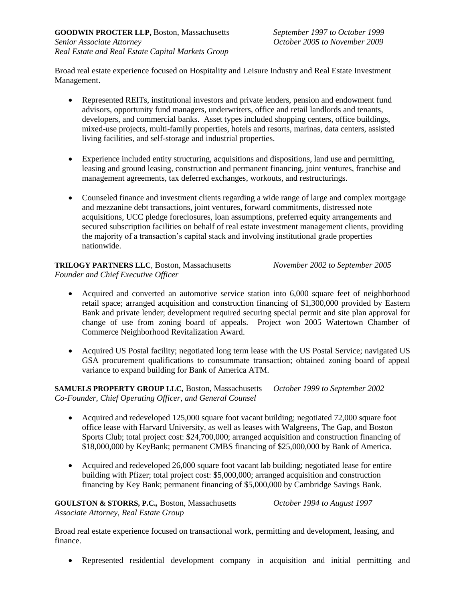Broad real estate experience focused on Hospitality and Leisure Industry and Real Estate Investment Management.

- Represented REITs, institutional investors and private lenders, pension and endowment fund advisors, opportunity fund managers, underwriters, office and retail landlords and tenants, developers, and commercial banks. Asset types included shopping centers, office buildings, mixed-use projects, multi-family properties, hotels and resorts, marinas, data centers, assisted living facilities, and self-storage and industrial properties.
- Experience included entity structuring, acquisitions and dispositions, land use and permitting, leasing and ground leasing, construction and permanent financing, joint ventures, franchise and management agreements, tax deferred exchanges, workouts, and restructurings.
- Counseled finance and investment clients regarding a wide range of large and complex mortgage and mezzanine debt transactions, joint ventures, forward commitments, distressed note acquisitions, UCC pledge foreclosures, loan assumptions, preferred equity arrangements and secured subscription facilities on behalf of real estate investment management clients, providing the majority of a transaction's capital stack and involving institutional grade properties nationwide.

**TRILOGY PARTNERS LLC**, Boston, Massachusetts *November 2002 to September 2005 Founder and Chief Executive Officer*

- Acquired and converted an automotive service station into 6,000 square feet of neighborhood retail space; arranged acquisition and construction financing of \$1,300,000 provided by Eastern Bank and private lender; development required securing special permit and site plan approval for change of use from zoning board of appeals. Project won 2005 Watertown Chamber of Commerce Neighborhood Revitalization Award.
- Acquired US Postal facility; negotiated long term lease with the US Postal Service; navigated US GSA procurement qualifications to consummate transaction; obtained zoning board of appeal variance to expand building for Bank of America ATM.

**SAMUELS PROPERTY GROUP LLC***,* Boston, Massachusetts *October 1999 to September 2002 Co-Founder, Chief Operating Officer, and General Counsel*

- Acquired and redeveloped 125,000 square foot vacant building; negotiated 72,000 square foot office lease with Harvard University, as well as leases with Walgreens, The Gap, and Boston Sports Club; total project cost: \$24,700,000; arranged acquisition and construction financing of \$18,000,000 by KeyBank; permanent CMBS financing of \$25,000,000 by Bank of America.
- Acquired and redeveloped 26,000 square foot vacant lab building; negotiated lease for entire building with Pfizer; total project cost: \$5,000,000; arranged acquisition and construction financing by Key Bank; permanent financing of \$5,000,000 by Cambridge Savings Bank.

**GOULSTON & STORRS, P.C.***,* Boston, Massachusetts *October 1994 to August 1997 Associate Attorney, Real Estate Group*

Broad real estate experience focused on transactional work, permitting and development, leasing, and finance.

• Represented residential development company in acquisition and initial permitting and